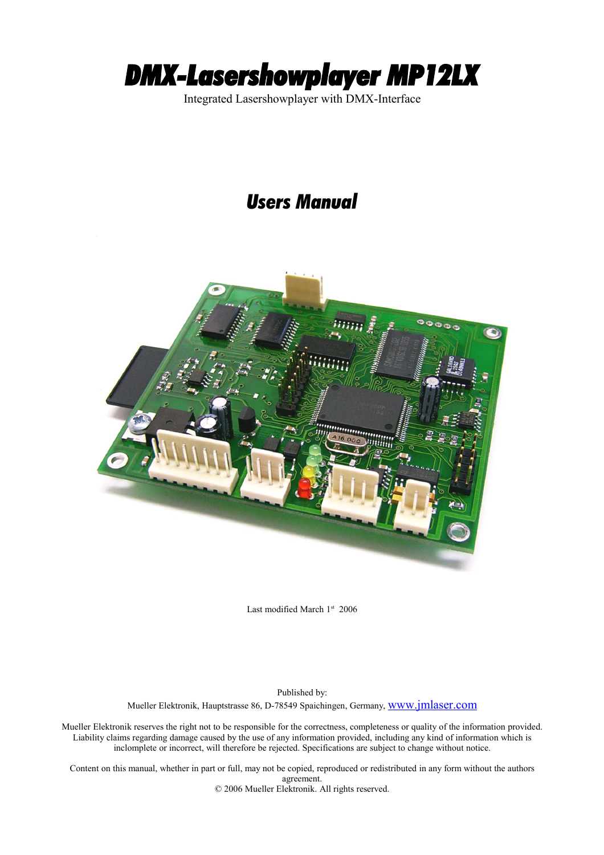

Integrated Lasershowplayer with DMX-Interface

# *Users Manual*



Last modified March 1st 2006

Published by: Mueller Elektronik, Hauptstrasse 86, D-78549 Spaichingen, Germany, [www.jmlaser.com](http://www.jmlaser.com/)

Mueller Elektronik reserves the right not to be responsible for the correctness, completeness or quality of the information provided. Liability claims regarding damage caused by the use of any information provided, including any kind of information which is inclomplete or incorrect, will therefore be rejected. Specifications are subject to change without notice.

Content on this manual, whether in part or full, may not be copied, reproduced or redistributed in any form without the authors agreement.

© 2006 Mueller Elektronik. All rights reserved.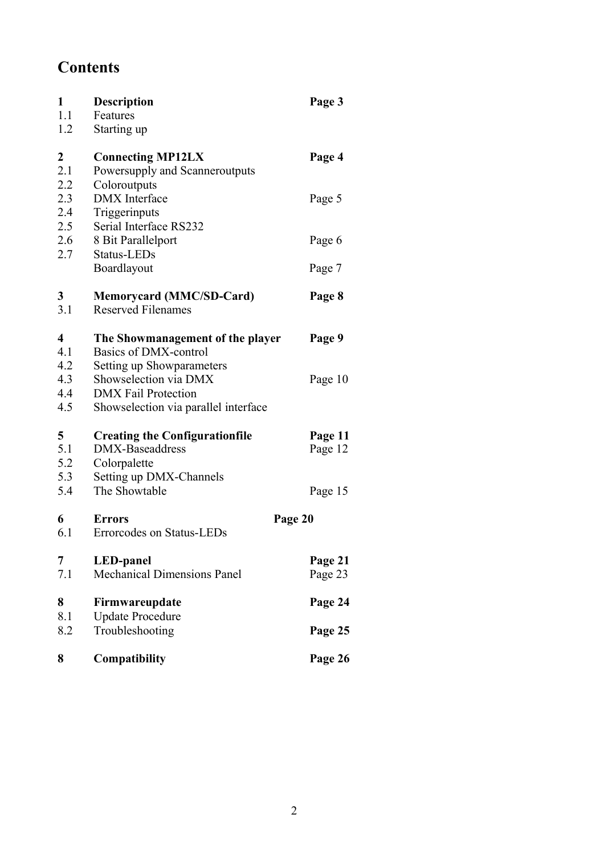# **Contents**

| $\mathbf{1}$            | <b>Description</b>                    | Page 3  |
|-------------------------|---------------------------------------|---------|
| 1.1                     | Features                              |         |
| 1.2                     | Starting up                           |         |
| $\mathbf{2}$            | <b>Connecting MP12LX</b>              | Page 4  |
| 2.1                     | Powersupply and Scanneroutputs        |         |
| 2.2                     | Coloroutputs                          |         |
| 2.3                     | <b>DMX</b> Interface                  | Page 5  |
| 2.4                     | Triggerinputs                         |         |
| 2.5                     | Serial Interface RS232                |         |
| 2.6                     | 8 Bit Parallelport                    | Page 6  |
| 2.7                     | Status-LEDs                           |         |
|                         | Boardlayout                           | Page 7  |
| $\mathbf{3}$            | <b>Memorycard (MMC/SD-Card)</b>       | Page 8  |
| 3.1                     | <b>Reserved Filenames</b>             |         |
| $\overline{\mathbf{4}}$ | The Showmanagement of the player      | Page 9  |
| 4.1                     | Basics of DMX-control                 |         |
| 4.2                     | Setting up Showparameters             |         |
| 4.3                     | Showselection via DMX                 | Page 10 |
| 4.4                     | <b>DMX</b> Fail Protection            |         |
| 4.5                     | Showselection via parallel interface  |         |
| 5                       | <b>Creating the Configurationfile</b> | Page 11 |
| 5.1                     | DMX-Baseaddress                       | Page 12 |
| 5.2                     | Colorpalette                          |         |
| 5.3                     | Setting up DMX-Channels               |         |
| 5.4                     | The Showtable                         | Page 15 |
| 6                       | <b>Errors</b><br>Page 20              |         |
| 6.1                     | Errorcodes on Status-LEDs             |         |
| 7                       | <b>LED-panel</b>                      | Page 21 |
| 7.1                     | <b>Mechanical Dimensions Panel</b>    | Page 23 |
| 8                       | Firmwareupdate                        | Page 24 |
| 8.1                     | <b>Update Procedure</b>               |         |
| 8.2                     | Troubleshooting                       | Page 25 |
| 8                       | Compatibility                         | Page 26 |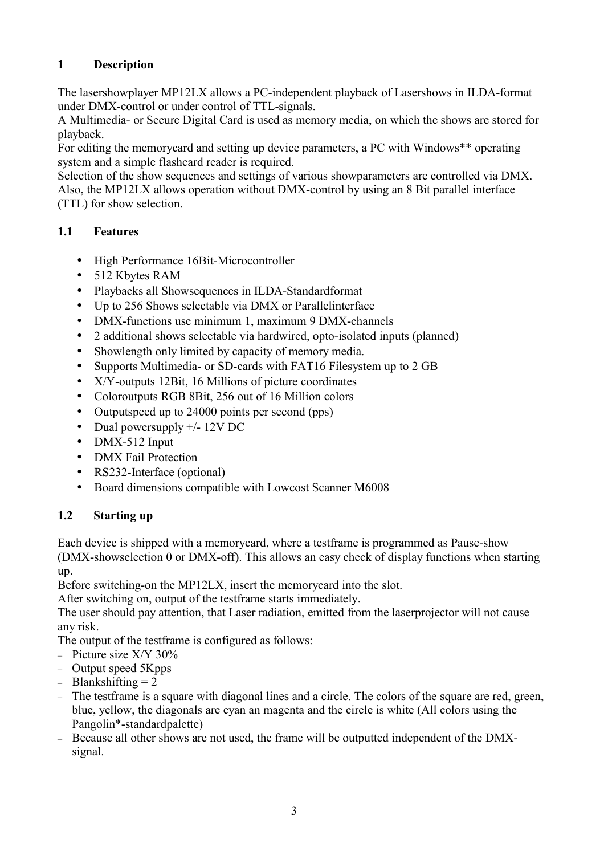# **1 Description**

The lasershowplayer MP12LX allows a PC-independent playback of Lasershows in ILDA-format under DMX-control or under control of TTL-signals.

A Multimedia- or Secure Digital Card is used as memory media, on which the shows are stored for playback.

For editing the memorycard and setting up device parameters, a PC with Windows\*\* operating system and a simple flashcard reader is required.

Selection of the show sequences and settings of various showparameters are controlled via DMX. Also, the MP12LX allows operation without DMX-control by using an 8 Bit parallel interface (TTL) for show selection.

# **1.1 Features**

- High Performance 16Bit-Microcontroller
- 512 Kbytes RAM
- Playbacks all Showsequences in ILDA-Standardformat
- Up to 256 Shows selectable via DMX or Parallelinterface
- DMX-functions use minimum 1, maximum 9 DMX-channels
- 2 additional shows selectable via hardwired, opto-isolated inputs (planned)
- Showlength only limited by capacity of memory media.
- Supports Multimedia- or SD-cards with FAT16 Filesystem up to 2 GB
- X/Y-outputs 12Bit, 16 Millions of picture coordinates
- Coloroutputs RGB 8Bit, 256 out of 16 Million colors
- Outputspeed up to 24000 points per second (pps)
- Dual powersupply +/- 12V DC
- DMX-512 Input
- DMX Fail Protection
- RS232-Interface (optional)
- Board dimensions compatible with Lowcost Scanner M6008

# **1.2 Starting up**

Each device is shipped with a memorycard, where a testframe is programmed as Pause-show (DMX-showselection 0 or DMX-off). This allows an easy check of display functions when starting up.

Before switching-on the MP12LX, insert the memorycard into the slot.

After switching on, output of the testframe starts immediately.

The user should pay attention, that Laser radiation, emitted from the laserprojector will not cause any risk.

The output of the testframe is configured as follows:

- Picture size X/Y 30%
- Output speed 5Kpps
- $-$  Blankshifting  $= 2$
- The testframe is a square with diagonal lines and a circle. The colors of the square are red, green, blue, yellow, the diagonals are cyan an magenta and the circle is white (All colors using the Pangolin\*-standardpalette)
- Because all other shows are not used, the frame will be outputted independent of the DMXsignal.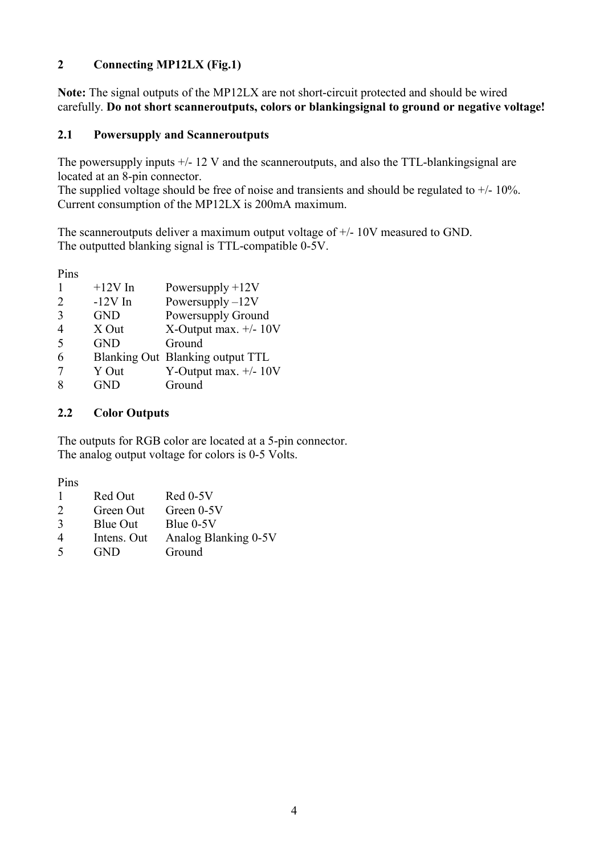## **2 Connecting MP12LX (Fig.1)**

**Note:** The signal outputs of the MP12LX are not short-circuit protected and should be wired carefully. **Do not short scanneroutputs, colors or blankingsignal to ground or negative voltage!**

#### **2.1 Powersupply and Scanneroutputs**

The powersupply inputs  $+/- 12$  V and the scanneroutputs, and also the TTL-blankingsignal are located at an 8-pin connector.

The supplied voltage should be free of noise and transients and should be regulated to  $+/$ - 10%. Current consumption of the MP12LX is 200mA maximum.

The scanneroutputs deliver a maximum output voltage of +/- 10V measured to GND. The outputted blanking signal is TTL-compatible 0-5V.

Pins

|                             | $+12V$ In  | Powersupply $+12V$               |
|-----------------------------|------------|----------------------------------|
| $\mathcal{D}_{\mathcal{L}}$ | $-12V$ In  | Powersupply $-12V$               |
| $\mathcal{R}$               | <b>GND</b> | Powersupply Ground               |
| 4                           | X Out      | X-Output max. $+/- 10V$          |
| 5                           | <b>GND</b> | Ground                           |
| 6                           |            | Blanking Out Blanking output TTL |
|                             | Y Out      | Y-Output max. $+/- 10V$          |
|                             | <b>GND</b> | Ground                           |

#### **2.2 Color Outputs**

The outputs for RGB color are located at a 5-pin connector. The analog output voltage for colors is 0-5 Volts.

Pins

| -1        | Red Out   | $Red 0-5V$                         |
|-----------|-----------|------------------------------------|
| 2         | Green Out | Green $0-5V$                       |
| 3         | Blue Out  | Blue $0-5V$                        |
| $\Lambda$ | $In f$    | $\Lambda$ nolog Dlanking $\Lambda$ |

- 4 Intens. Out Analog Blanking 0-5V<br>5 GND Ground
- 5 GND Ground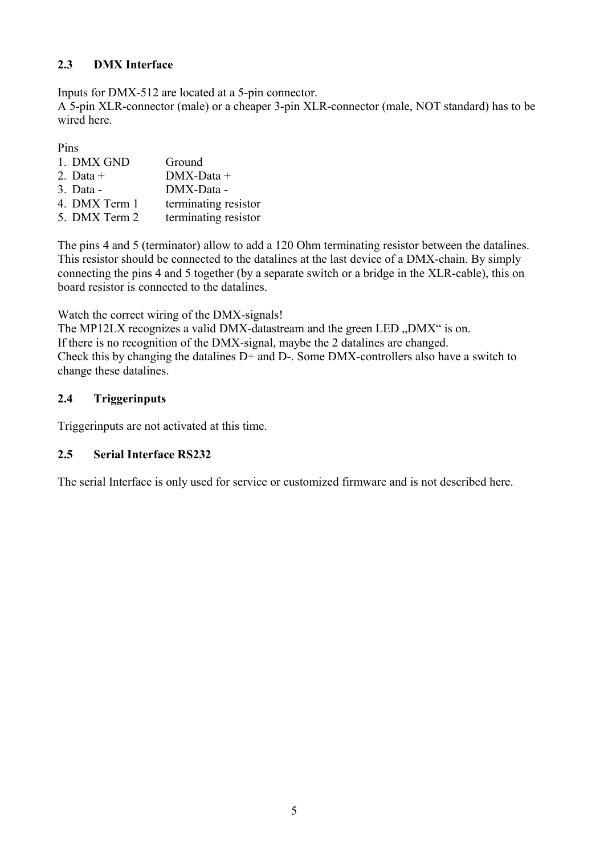# **2.3 DMX Interface**

Inputs for DMX-512 are located at a 5-pin connector.

A 5-pin XLR-connector (male) or a cheaper 3-pin XLR-connector (male, NOT standard) has to be wired here.

Pins

| 1. DMX GND    | Ground               |
|---------------|----------------------|
| 2. Data $+$   | $DMX-Data +$         |
| 3. Data -     | DMX-Data -           |
| 4. DMX Term 1 | terminating resistor |
| 5. DMX Term 2 | terminating resistor |

The pins 4 and 5 (terminator) allow to add a 120 Ohm terminating resistor between the datalines. This resistor should be connected to the datalines at the last device of a DMX-chain. By simply connecting the pins 4 and 5 together (by a separate switch or a bridge in the XLR-cable), this on board resistor is connected to the datalines.

Watch the correct wiring of the DMX-signals!

The MP12LX recognizes a valid DMX-datastream and the green LED "DMX" is on. If there is no recognition of the DMX-signal, maybe the 2 datalines are changed. Check this by changing the datalines D+ and D-. Some DMX-controllers also have a switch to change these datalines.

# **2.4 Triggerinputs**

Triggerinputs are not activated at this time.

# **2.5 Serial Interface RS232**

The serial Interface is only used for service or customized firmware and is not described here.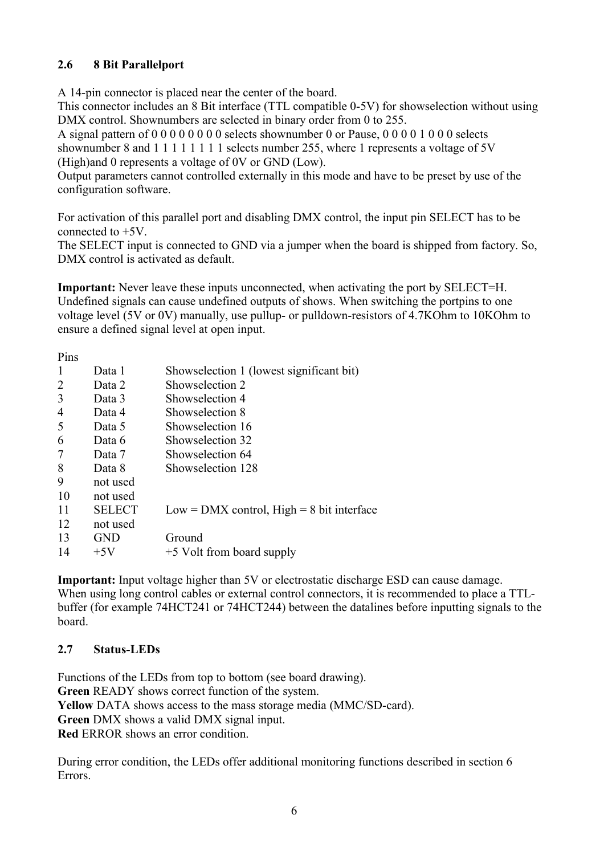## **2.6 8 Bit Parallelport**

A 14-pin connector is placed near the center of the board.

This connector includes an 8 Bit interface (TTL compatible 0-5V) for showselection without using DMX control. Shownumbers are selected in binary order from 0 to 255.

A signal pattern of 0 0 0 0 0 0 0 0 selects shownumber 0 or Pause, 0 0 0 0 1 0 0 0 selects shownumber 8 and 1 1 1 1 1 1 1 1 selects number 255, where 1 represents a voltage of 5V (High)and 0 represents a voltage of 0V or GND (Low).

Output parameters cannot controlled externally in this mode and have to be preset by use of the configuration software.

For activation of this parallel port and disabling DMX control, the input pin SELECT has to be connected to  $+5V$ .

The SELECT input is connected to GND via a jumper when the board is shipped from factory. So, DMX control is activated as default.

**Important:** Never leave these inputs unconnected, when activating the port by SELECT=H. Undefined signals can cause undefined outputs of shows. When switching the portpins to one voltage level (5V or 0V) manually, use pullup- or pulldown-resistors of 4.7KOhm to 10KOhm to ensure a defined signal level at open input.

Pins

| 1 111.0 |               |                                               |
|---------|---------------|-----------------------------------------------|
| 1       | Data 1        | Showselection 1 (lowest significant bit)      |
| 2       | Data 2        | Showselection 2                               |
| 3       | Data 3        | Showselection 4                               |
| 4       | Data 4        | Showselection 8                               |
| 5       | Data 5        | Showselection 16                              |
| 6       | Data 6        | Showselection 32                              |
| 7       | Data 7        | Showselection 64                              |
| 8       | Data 8        | Showselection 128                             |
| 9       | not used      |                                               |
| 10      | not used      |                                               |
| 11      | <b>SELECT</b> | $Low = DMX$ control, $High = 8$ bit interface |
| 12      | not used      |                                               |
| 13      | <b>GND</b>    | Ground                                        |
| 14      | $+5V$         | +5 Volt from board supply                     |
|         |               |                                               |

**Important:** Input voltage higher than 5V or electrostatic discharge ESD can cause damage. When using long control cables or external control connectors, it is recommended to place a TTLbuffer (for example 74HCT241 or 74HCT244) between the datalines before inputting signals to the board.

#### **2.7 Status-LEDs**

Functions of the LEDs from top to bottom (see board drawing). **Green** READY shows correct function of the system. **Yellow** DATA shows access to the mass storage media (MMC/SD-card). **Green** DMX shows a valid DMX signal input. **Red** ERROR shows an error condition.

During error condition, the LEDs offer additional monitoring functions described in section 6 Errors.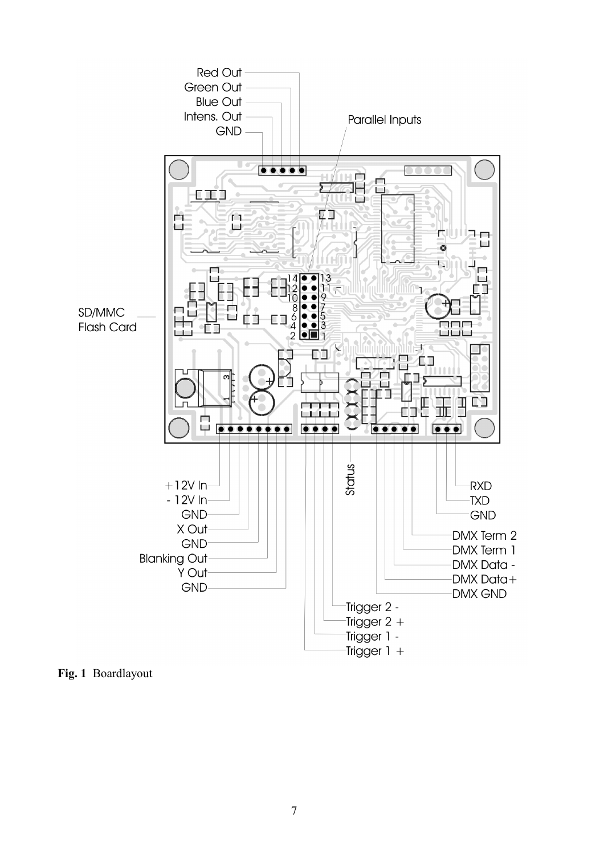

**Fig. 1** Boardlayout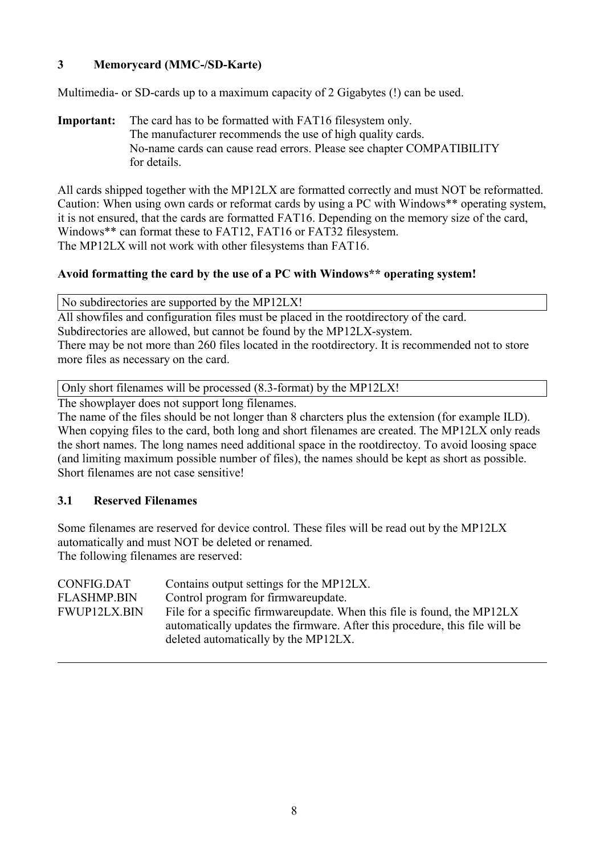# **3 Memorycard (MMC-/SD-Karte)**

Multimedia- or SD-cards up to a maximum capacity of 2 Gigabytes (!) can be used.

**Important:** The card has to be formatted with FAT16 filesystem only. The manufacturer recommends the use of high quality cards. No-name cards can cause read errors. Please see chapter COMPATIBILITY for details.

All cards shipped together with the MP12LX are formatted correctly and must NOT be reformatted. Caution: When using own cards or reformat cards by using a PC with Windows\*\* operating system, it is not ensured, that the cards are formatted FAT16. Depending on the memory size of the card, Windows\*\* can format these to FAT12, FAT16 or FAT32 filesystem. The MP12LX will not work with other filesystems than FAT16.

### **Avoid formatting the card by the use of a PC with Windows\*\* operating system!**

No subdirectories are supported by the MP12LX!

All showfiles and configuration files must be placed in the rootdirectory of the card. Subdirectories are allowed, but cannot be found by the MP12LX-system. There may be not more than 260 files located in the rootdirectory. It is recommended not to store more files as necessary on the card.

Only short filenames will be processed (8.3-format) by the MP12LX!

The showplayer does not support long filenames.

The name of the files should be not longer than 8 charcters plus the extension (for example ILD). When copying files to the card, both long and short filenames are created. The MP12LX only reads the short names. The long names need additional space in the rootdirectoy. To avoid loosing space (and limiting maximum possible number of files), the names should be kept as short as possible. Short filenames are not case sensitive!

#### **3.1 Reserved Filenames**

Some filenames are reserved for device control. These files will be read out by the MP12LX automatically and must NOT be deleted or renamed.

The following filenames are reserved:

| CONFIG.DAT          | Contains output settings for the MP12LX.                                    |
|---------------------|-----------------------------------------------------------------------------|
| <b>FLASHMP.BIN</b>  | Control program for firmwareupdate.                                         |
| <b>FWUP12LX.BIN</b> | File for a specific firmware update. When this file is found, the MP12LX    |
|                     | automatically updates the firmware. After this procedure, this file will be |
|                     | deleted automatically by the MP12LX.                                        |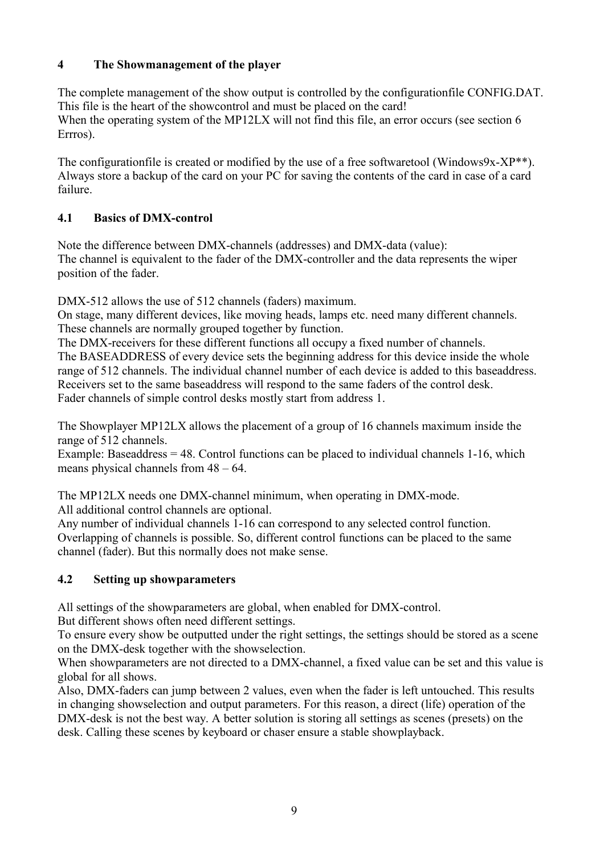# **4 The Showmanagement of the player**

The complete management of the show output is controlled by the configurationfile CONFIG.DAT. This file is the heart of the showcontrol and must be placed on the card! When the operating system of the MP12LX will not find this file, an error occurs (see section 6 Errros).

The configurationfile is created or modified by the use of a free softwaretool (Windows9x-XP<sup>\*\*</sup>). Always store a backup of the card on your PC for saving the contents of the card in case of a card failure.

# **4.1 Basics of DMX-control**

Note the difference between DMX-channels (addresses) and DMX-data (value): The channel is equivalent to the fader of the DMX-controller and the data represents the wiper position of the fader.

DMX-512 allows the use of 512 channels (faders) maximum.

On stage, many different devices, like moving heads, lamps etc. need many different channels. These channels are normally grouped together by function.

The DMX-receivers for these different functions all occupy a fixed number of channels. The BASEADDRESS of every device sets the beginning address for this device inside the whole range of 512 channels. The individual channel number of each device is added to this baseaddress. Receivers set to the same baseaddress will respond to the same faders of the control desk.

Fader channels of simple control desks mostly start from address 1.

The Showplayer MP12LX allows the placement of a group of 16 channels maximum inside the range of 512 channels.

Example: Baseaddress  $= 48$ . Control functions can be placed to individual channels  $1-16$ , which means physical channels from 48 – 64.

The MP12LX needs one DMX-channel minimum, when operating in DMX-mode. All additional control channels are optional.

Any number of individual channels 1-16 can correspond to any selected control function. Overlapping of channels is possible. So, different control functions can be placed to the same channel (fader). But this normally does not make sense.

# **4.2 Setting up showparameters**

All settings of the showparameters are global, when enabled for DMX-control. But different shows often need different settings.

To ensure every show be outputted under the right settings, the settings should be stored as a scene on the DMX-desk together with the showselection.

When showparameters are not directed to a DMX-channel, a fixed value can be set and this value is global for all shows.

Also, DMX-faders can jump between 2 values, even when the fader is left untouched. This results in changing showselection and output parameters. For this reason, a direct (life) operation of the DMX-desk is not the best way. A better solution is storing all settings as scenes (presets) on the desk. Calling these scenes by keyboard or chaser ensure a stable showplayback.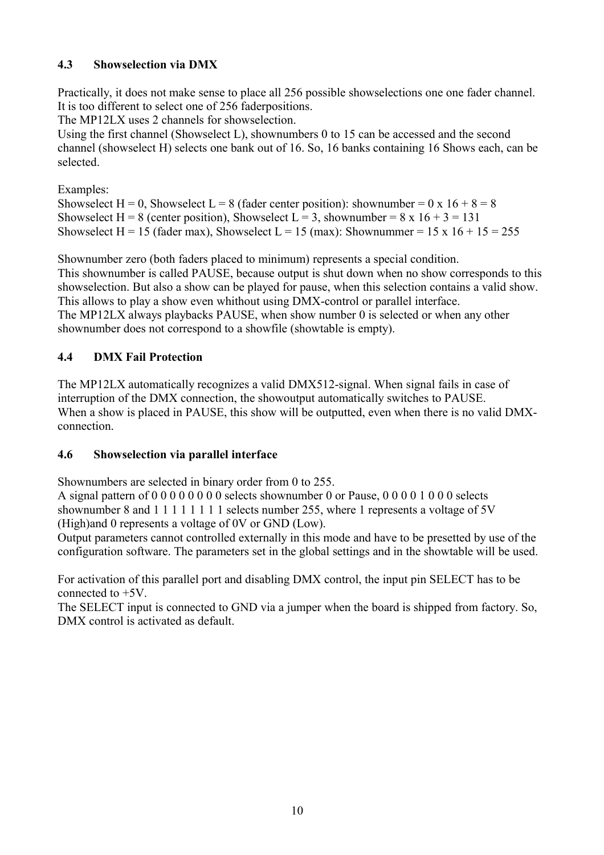# **4.3 Showselection via DMX**

Practically, it does not make sense to place all 256 possible showselections one one fader channel. It is too different to select one of 256 faderpositions.

The MP12LX uses 2 channels for showselection.

Using the first channel (Showselect L), shownumbers 0 to 15 can be accessed and the second channel (showselect H) selects one bank out of 16. So, 16 banks containing 16 Shows each, can be selected.

Examples:

Showselect H = 0, Showselect L = 8 (fader center position): shownumber = 0 x 16 + 8 = 8 Showselect H = 8 (center position), Showselect L = 3, shownumber =  $8 \times 16 + 3 = 131$ Showselect H = 15 (fader max), Showselect L = 15 (max): Shownummer = 15 x 16 + 15 = 255

Shownumber zero (both faders placed to minimum) represents a special condition. This shownumber is called PAUSE, because output is shut down when no show corresponds to this showselection. But also a show can be played for pause, when this selection contains a valid show. This allows to play a show even whithout using DMX-control or parallel interface. The MP12LX always playbacks PAUSE, when show number 0 is selected or when any other shownumber does not correspond to a showfile (showtable is empty).

# **4.4 DMX Fail Protection**

The MP12LX automatically recognizes a valid DMX512-signal. When signal fails in case of interruption of the DMX connection, the showoutput automatically switches to PAUSE. When a show is placed in PAUSE, this show will be outputted, even when there is no valid DMXconnection.

# **4.6 Showselection via parallel interface**

Shownumbers are selected in binary order from 0 to 255.

A signal pattern of 0 0 0 0 0 0 0 0 selects shownumber 0 or Pause, 0 0 0 0 1 0 0 0 selects shownumber 8 and 1 1 1 1 1 1 1 1 selects number 255, where 1 represents a voltage of 5V (High)and 0 represents a voltage of 0V or GND (Low).

Output parameters cannot controlled externally in this mode and have to be presetted by use of the configuration software. The parameters set in the global settings and in the showtable will be used.

For activation of this parallel port and disabling DMX control, the input pin SELECT has to be connected to +5V.

The SELECT input is connected to GND via a jumper when the board is shipped from factory. So, DMX control is activated as default.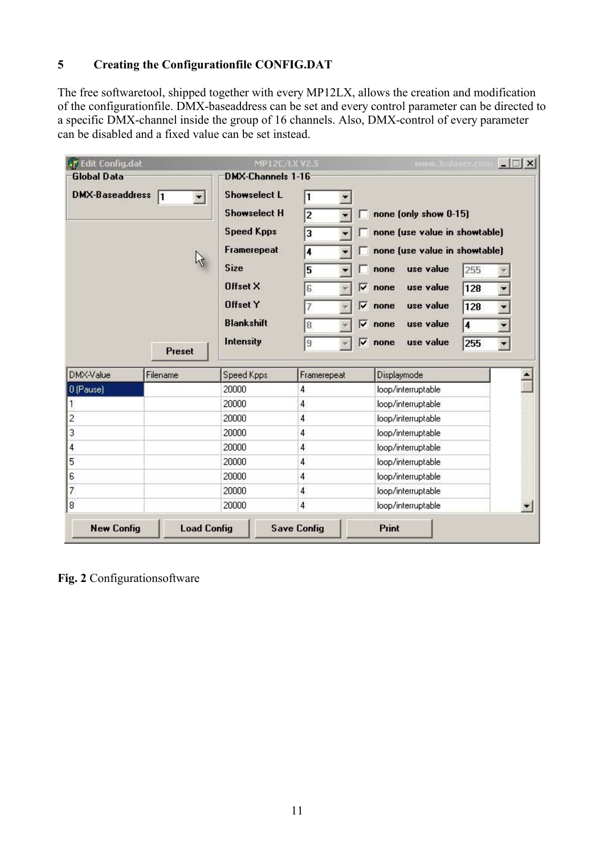# **5 Creating the Configurationfile CONFIG.DAT**

The free softwaretool, shipped together with every MP12LX, allows the creation and modification of the configurationfile. DMX-baseaddress can be set and every control parameter can be directed to a specific DMX-channel inside the group of 16 channels. Also, DMX-control of every parameter can be disabled and a fixed value can be set instead.

| T Edit Config.dat                  |                    | MP12C/LX V2.5           |                    | www.Jmlaser.com                                                | $ \Box$ $\times$ |  |
|------------------------------------|--------------------|-------------------------|--------------------|----------------------------------------------------------------|------------------|--|
| <b>Global Data</b>                 |                    | DMX-Channels 1-16       |                    |                                                                |                  |  |
| <b>DMX-Baseaddress</b><br>11<br>¥. |                    | <b>Showselect L</b>     | 1                  |                                                                |                  |  |
|                                    |                    | <b>Showselect H</b>     | $\overline{2}$     | none (only show 0-15)                                          |                  |  |
|                                    |                    | <b>Speed Kpps</b>       | 3                  | none (use value in showtable)<br>none (use value in showtable) |                  |  |
|                                    |                    | Framerepeat             | 4                  |                                                                |                  |  |
|                                    |                    | <b>Size</b><br>Offset X | 5                  | 255<br>use value<br>none                                       |                  |  |
|                                    |                    |                         | ⊽<br>6             | use value<br>128<br>none                                       |                  |  |
|                                    |                    | <b>Offset Y</b>         | ⊽<br>7             | use value<br>128<br>none                                       |                  |  |
|                                    |                    | <b>Blankshift</b>       | ⊽<br>8             | use value<br>4<br>none                                         | ¥.               |  |
|                                    | <b>Preset</b>      | Intensity               | П<br>$\mathbf 9$   | use value<br>none<br>255                                       | ¥.               |  |
| DMX-Value                          | Filename           | Speed Kpps              | Framerepeat        | Displaymode                                                    |                  |  |
| 0 (Pause)                          |                    | 20000                   | 4                  | loop/interruptable                                             |                  |  |
| 1                                  |                    | 20000                   | 4                  | loop/interruptable                                             |                  |  |
| $\overline{c}$                     |                    | 20000                   | 4                  | loop/interruptable                                             |                  |  |
| 3                                  |                    | 20000                   | 4                  | loop/interruptable                                             |                  |  |
| 4                                  |                    | 20000                   | 4                  | loop/interruptable                                             |                  |  |
| 5                                  |                    | 20000                   | 4                  | loop/interruptable                                             |                  |  |
| 6                                  |                    | 20000                   | 4                  | loop/interruptable                                             |                  |  |
| 7                                  |                    | 20000                   | $\overline{4}$     | loop/interruptable                                             |                  |  |
| 8                                  |                    | 20000                   | $\overline{4}$     | loop/interruptable                                             |                  |  |
| <b>New Config</b>                  | <b>Load Config</b> |                         | <b>Save Config</b> | Print                                                          |                  |  |

**Fig. 2** Configurationsoftware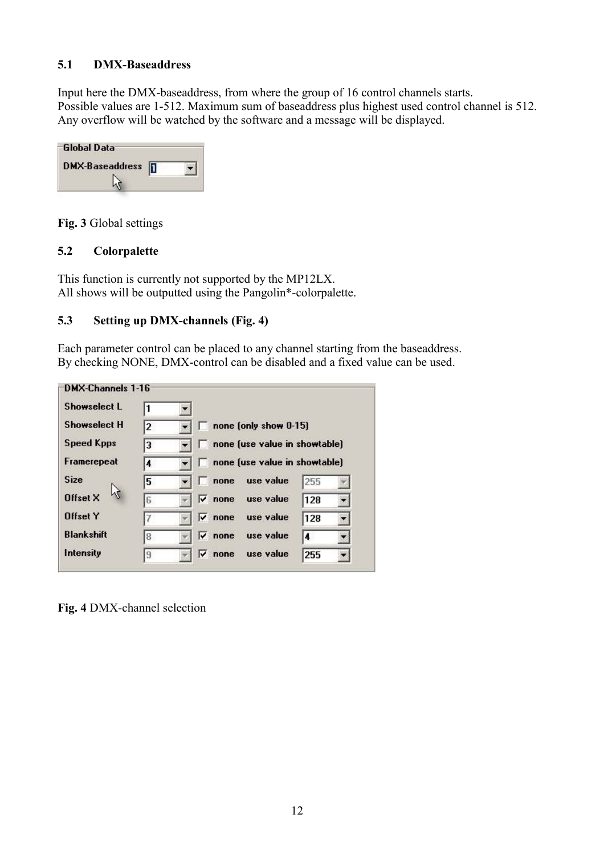### **5.1 DMX-Baseaddress**

Input here the DMX-baseaddress, from where the group of 16 control channels starts. Possible values are 1-512. Maximum sum of baseaddress plus highest used control channel is 512. Any overflow will be watched by the software and a message will be displayed.

| -Global Data           |  |
|------------------------|--|
| <b>DMX-Baseaddress</b> |  |
|                        |  |

**Fig. 3** Global settings

### **5.2 Colorpalette**

This function is currently not supported by the MP12LX. All shows will be outputted using the Pangolin\*-colorpalette.

### **5.3 Setting up DMX-channels (Fig. 4)**

Each parameter control can be placed to any channel starting from the baseaddress. By checking NONE, DMX-control can be disabled and a fixed value can be used.

| <b>Showselect L</b> |                         |            |                               |     |  |
|---------------------|-------------------------|------------|-------------------------------|-----|--|
| <b>Showselect H</b> | 2                       |            | none (only show 0-15)         |     |  |
| <b>Speed Kpps</b>   | 3                       |            | none (use value in showtable) |     |  |
| Framerepeat         | $\overline{\mathbf{4}}$ |            | none (use value in showtable) |     |  |
| <b>Size</b>         | 5                       | none       | use value                     | 255 |  |
| <b>Offset X</b>     | 6                       | ⊽∶<br>none | use value                     | 128 |  |
| <b>Offset Y</b>     |                         | ⊽<br>none  | use value                     | 128 |  |
| <b>Blankshift</b>   | 8                       | ⊽<br>none  | use value                     | 4   |  |
| Intensity           | 9                       | ⊽<br>none  | use value                     | 255 |  |

**Fig. 4** DMX-channel selection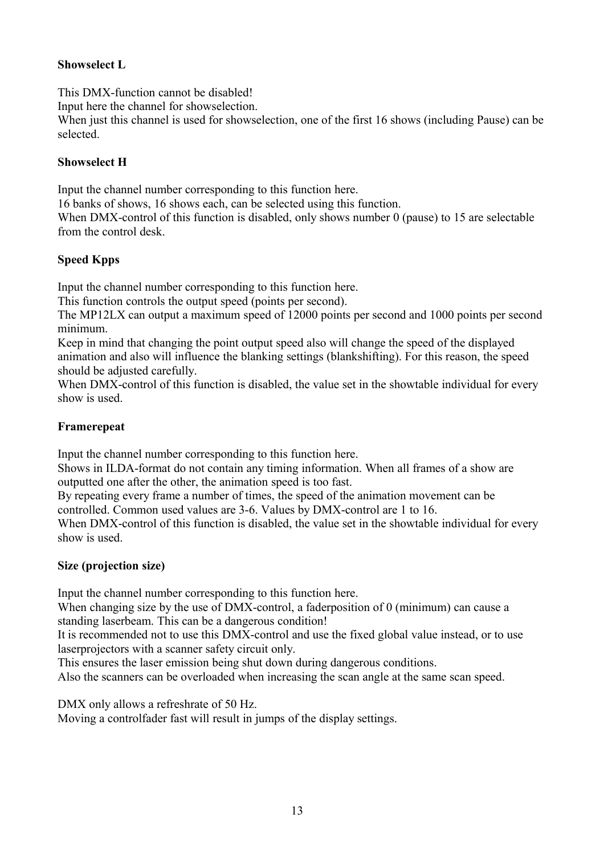# **Showselect L**

This DMX-function cannot be disabled!

Input here the channel for showselection.

When just this channel is used for showselection, one of the first 16 shows (including Pause) can be selected.

# **Showselect H**

Input the channel number corresponding to this function here.

16 banks of shows, 16 shows each, can be selected using this function.

When DMX-control of this function is disabled, only shows number 0 (pause) to 15 are selectable from the control desk.

# **Speed Kpps**

Input the channel number corresponding to this function here.

This function controls the output speed (points per second).

The MP12LX can output a maximum speed of 12000 points per second and 1000 points per second minimum.

Keep in mind that changing the point output speed also will change the speed of the displayed animation and also will influence the blanking settings (blankshifting). For this reason, the speed should be adjusted carefully.

When DMX-control of this function is disabled, the value set in the showtable individual for every show is used.

# **Framerepeat**

Input the channel number corresponding to this function here.

Shows in ILDA-format do not contain any timing information. When all frames of a show are outputted one after the other, the animation speed is too fast.

By repeating every frame a number of times, the speed of the animation movement can be controlled. Common used values are 3-6. Values by DMX-control are 1 to 16.

When DMX-control of this function is disabled, the value set in the showtable individual for every show is used.

# **Size (projection size)**

Input the channel number corresponding to this function here.

When changing size by the use of DMX-control, a faderposition of 0 (minimum) can cause a standing laserbeam. This can be a dangerous condition!

It is recommended not to use this DMX-control and use the fixed global value instead, or to use laserprojectors with a scanner safety circuit only.

This ensures the laser emission being shut down during dangerous conditions.

Also the scanners can be overloaded when increasing the scan angle at the same scan speed.

DMX only allows a refreshrate of 50 Hz.

Moving a controlfader fast will result in jumps of the display settings.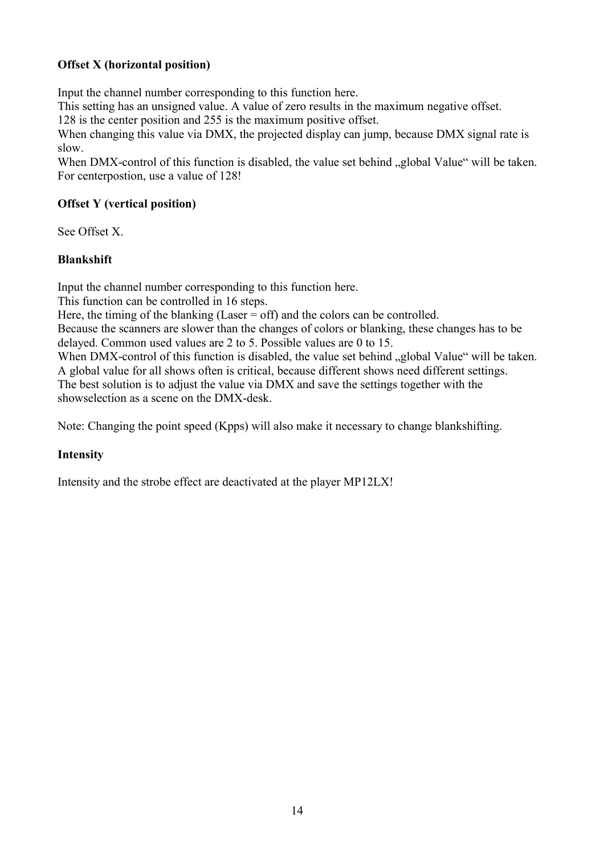# **Offset X (horizontal position)**

Input the channel number corresponding to this function here.

This setting has an unsigned value. A value of zero results in the maximum negative offset.

128 is the center position and 255 is the maximum positive offset.

When changing this value via DMX, the projected display can jump, because DMX signal rate is slow.

When DMX-control of this function is disabled, the value set behind "global Value" will be taken. For centerpostion, use a value of 128!

## **Offset Y (vertical position)**

See Offset X.

### **Blankshift**

Input the channel number corresponding to this function here.

This function can be controlled in 16 steps.

Here, the timing of the blanking (Laser  $=$  off) and the colors can be controlled.

Because the scanners are slower than the changes of colors or blanking, these changes has to be delayed. Common used values are 2 to 5. Possible values are 0 to 15.

When DMX-control of this function is disabled, the value set behind "global Value" will be taken. A global value for all shows often is critical, because different shows need different settings. The best solution is to adjust the value via DMX and save the settings together with the showselection as a scene on the DMX-desk.

Note: Changing the point speed (Kpps) will also make it necessary to change blankshifting.

# **Intensity**

Intensity and the strobe effect are deactivated at the player MP12LX!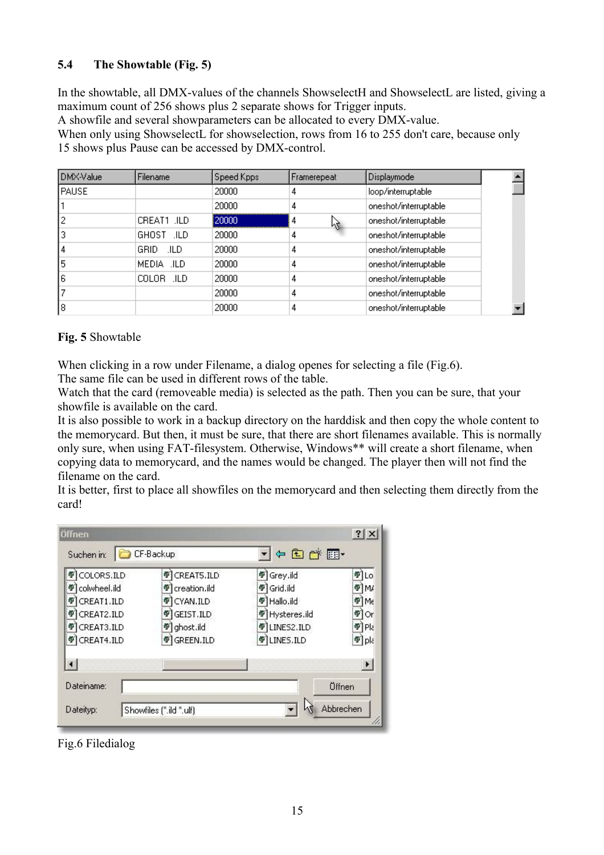# **5.4 The Showtable (Fig. 5)**

In the showtable, all DMX-values of the channels ShowselectH and ShowselectL are listed, giving a maximum count of 256 shows plus 2 separate shows for Trigger inputs.

A showfile and several showparameters can be allocated to every DMX-value.

When only using ShowselectL for showselection, rows from 16 to 255 don't care, because only 15 shows plus Pause can be accessed by DMX-control.

| DMX-Value | <b>Filename</b> | Speed Kpps | Framerepeat | <b>Displaymode</b>    |  |
|-----------|-----------------|------------|-------------|-----------------------|--|
| PAUSE     |                 | 20000      | 4           | loop/interruptable    |  |
|           |                 | 20000      | 4           | oneshot/interruptable |  |
|           | CREAT1 .ILD     | 20000      | 4<br>Μ      | oneshot/interruptable |  |
|           | GHOST JLD       | 20000      | 4           | oneshot/interruptable |  |
| 4         | GRID.<br>.ILD   | 20000      | 4           | oneshot/interruptable |  |
| 5         | MEDIA .ILD      | 20000      | 4           | oneshot/interruptable |  |
| 6         | COLOR .ILD      | 20000      | 4           | oneshot/interruptable |  |
|           |                 | 20000      | 4           | oneshot/interruptable |  |
| 8         |                 | 20000      | 4           | oneshot/interruptable |  |

### **Fig. 5** Showtable

When clicking in a row under Filename, a dialog openes for selecting a file (Fig.6).

The same file can be used in different rows of the table.

Watch that the card (removeable media) is selected as the path. Then you can be sure, that your showfile is available on the card.

It is also possible to work in a backup directory on the harddisk and then copy the whole content to the memorycard. But then, it must be sure, that there are short filenames available. This is normally only sure, when using FAT-filesystem. Otherwise, Windows\*\* will create a short filename, when copying data to memorycard, and the names would be changed. The player then will not find the filename on the card.

It is better, first to place all showfiles on the memorycard and then selecting them directly from the card!

| COLORS.ILD            | CREAT5.ILD<br>學   | Grey.ild<br>鄣             | Ф<br>Lο               |
|-----------------------|-------------------|---------------------------|-----------------------|
| colwheel.ild<br>φ     | creation.ild<br>÷ | Grid.ild<br>學             | ⊕]M/                  |
| CREAT1.ILD<br>Ф       | CYAN.ILD<br>Ф     | <sup>9</sup> Hallo.ild    | ¶[Mε                  |
| CREAT2.ILD<br>đΡ      | GEIST.ILD<br>Ф    | <sup>6</sup> Hysteres.ild | ¶ Or                  |
| CREAT3.ILD<br>Ф       | ghost.ild<br>Φ    | LINES2.ILD<br>Ф           | $\Psi$ Pla            |
| CREAT4.ILD            | GREEN.ILD<br>Φ    | <b>TILINES.ILD</b>        | <sup>可</sup> pla      |
| $\lvert \cdot \rvert$ |                   |                           | $\blacktriangleright$ |

Fig.6 Filedialog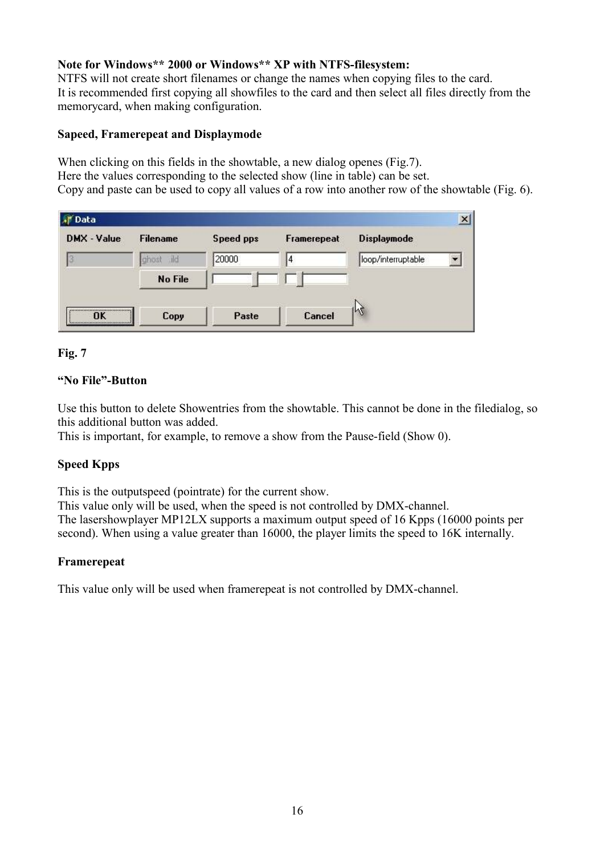### **Note for Windows\*\* 2000 or Windows\*\* XP with NTFS-filesystem:**

NTFS will not create short filenames or change the names when copying files to the card. It is recommended first copying all showfiles to the card and then select all files directly from the memorycard, when making configuration.

#### **Sapeed, Framerepeat and Displaymode**

When clicking on this fields in the showtable, a new dialog openes (Fig.7). Here the values corresponding to the selected show (line in table) can be set. Copy and paste can be used to copy all values of a row into another row of the showtable (Fig. 6).

| <b>新</b> Data |                 |           |             |                    |
|---------------|-----------------|-----------|-------------|--------------------|
| DMX - Value   | <b>Filename</b> | Speed pps | Framerepeat | <b>Displaymode</b> |
|               | ild<br>ghost    | 20000     | 14          | loop/interruptable |
|               | No File         |           |             |                    |
|               |                 |           |             |                    |
| <br>ΠK        | Copy            | Paste     | Cancel      | lr2                |

### **Fig. 7**

### **"No File"-Button**

Use this button to delete Showentries from the showtable. This cannot be done in the filedialog, so this additional button was added.

This is important, for example, to remove a show from the Pause-field (Show 0).

# **Speed Kpps**

This is the outputspeed (pointrate) for the current show.

This value only will be used, when the speed is not controlled by DMX-channel. The lasershowplayer MP12LX supports a maximum output speed of 16 Kpps (16000 points per second). When using a value greater than 16000, the player limits the speed to 16K internally.

#### **Framerepeat**

This value only will be used when framerepeat is not controlled by DMX-channel.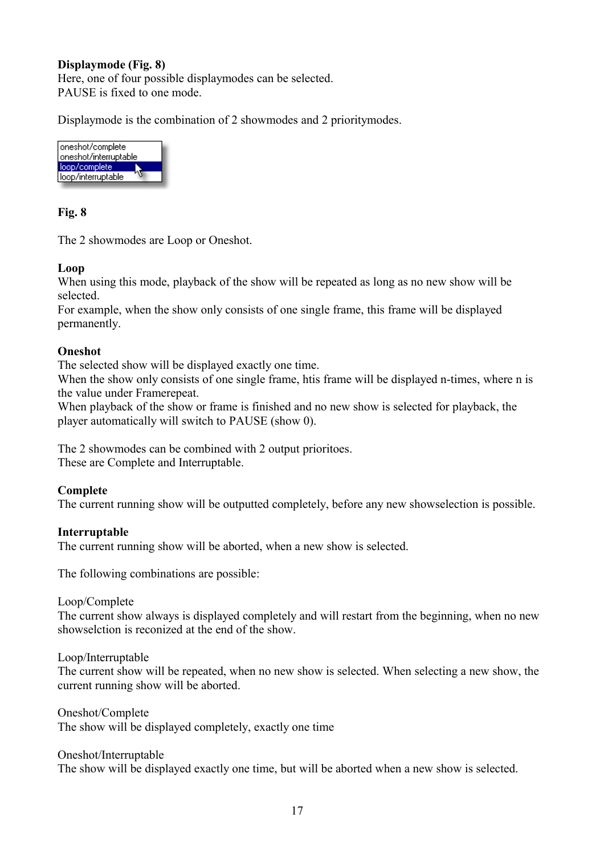#### **Displaymode (Fig. 8)**

Here, one of four possible displaymodes can be selected. PAUSE is fixed to one mode.

Displaymode is the combination of 2 showmodes and 2 prioritymodes.



#### **Fig. 8**

The 2 showmodes are Loop or Oneshot.

#### **Loop**

When using this mode, playback of the show will be repeated as long as no new show will be selected.

For example, when the show only consists of one single frame, this frame will be displayed permanently.

#### **Oneshot**

The selected show will be displayed exactly one time.

When the show only consists of one single frame, htis frame will be displayed n-times, where n is the value under Framerepeat.

When playback of the show or frame is finished and no new show is selected for playback, the player automatically will switch to PAUSE (show 0).

The 2 showmodes can be combined with 2 output prioritoes. These are Complete and Interruptable.

#### **Complete**

The current running show will be outputted completely, before any new showselection is possible.

#### **Interruptable**

The current running show will be aborted, when a new show is selected.

The following combinations are possible:

Loop/Complete

The current show always is displayed completely and will restart from the beginning, when no new showselction is reconized at the end of the show.

Loop/Interruptable

The current show will be repeated, when no new show is selected. When selecting a new show, the current running show will be aborted.

Oneshot/Complete The show will be displayed completely, exactly one time

Oneshot/Interruptable

The show will be displayed exactly one time, but will be aborted when a new show is selected.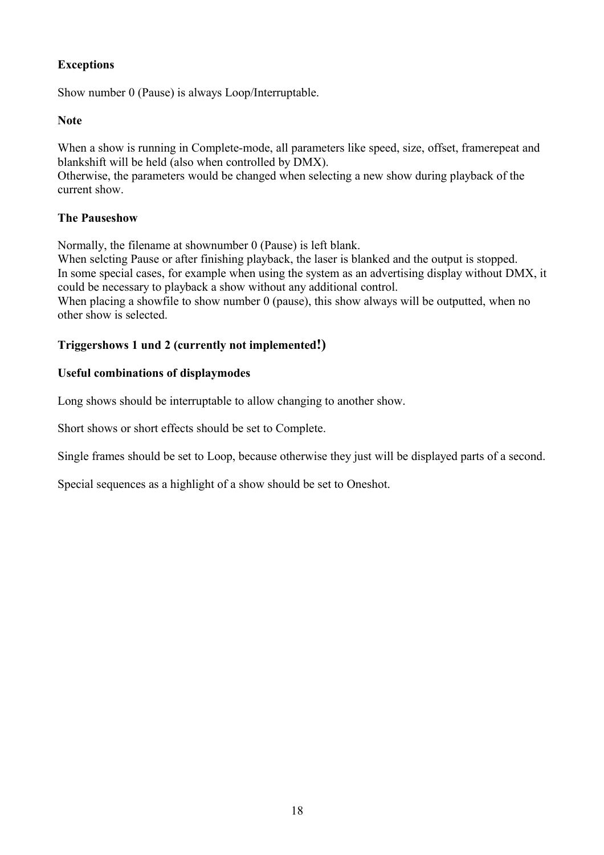# **Exceptions**

Show number 0 (Pause) is always Loop/Interruptable.

#### **Note**

When a show is running in Complete-mode, all parameters like speed, size, offset, framerepeat and blankshift will be held (also when controlled by DMX).

Otherwise, the parameters would be changed when selecting a new show during playback of the current show.

#### **The Pauseshow**

Normally, the filename at shownumber 0 (Pause) is left blank.

When selcting Pause or after finishing playback, the laser is blanked and the output is stopped. In some special cases, for example when using the system as an advertising display without DMX, it could be necessary to playback a show without any additional control. When placing a showfile to show number 0 (pause), this show always will be outputted, when no

other show is selected.

#### **Triggershows 1 und 2 (currently not implemented!)**

#### **Useful combinations of displaymodes**

Long shows should be interruptable to allow changing to another show.

Short shows or short effects should be set to Complete.

Single frames should be set to Loop, because otherwise they just will be displayed parts of a second.

Special sequences as a highlight of a show should be set to Oneshot.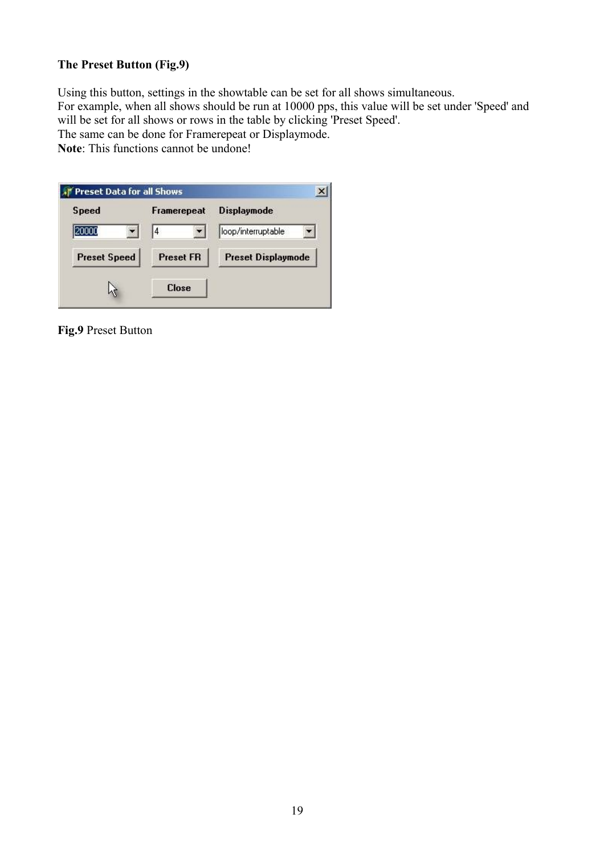# **The Preset Button (Fig.9)**

Using this button, settings in the showtable can be set for all shows simultaneous. For example, when all shows should be run at 10000 pps, this value will be set under 'Speed' and will be set for all shows or rows in the table by clicking 'Preset Speed'. The same can be done for Framerepeat or Displaymode.

**Note**: This functions cannot be undone!

| <b>Speed</b>        | Framerepeat      | <b>Displaymode</b>        |  |
|---------------------|------------------|---------------------------|--|
|                     | 4                | loop/interruptable        |  |
| <b>Preset Speed</b> | <b>Preset FR</b> | <b>Preset Displaymode</b> |  |
|                     | <b>Close</b>     |                           |  |

**Fig.9** Preset Button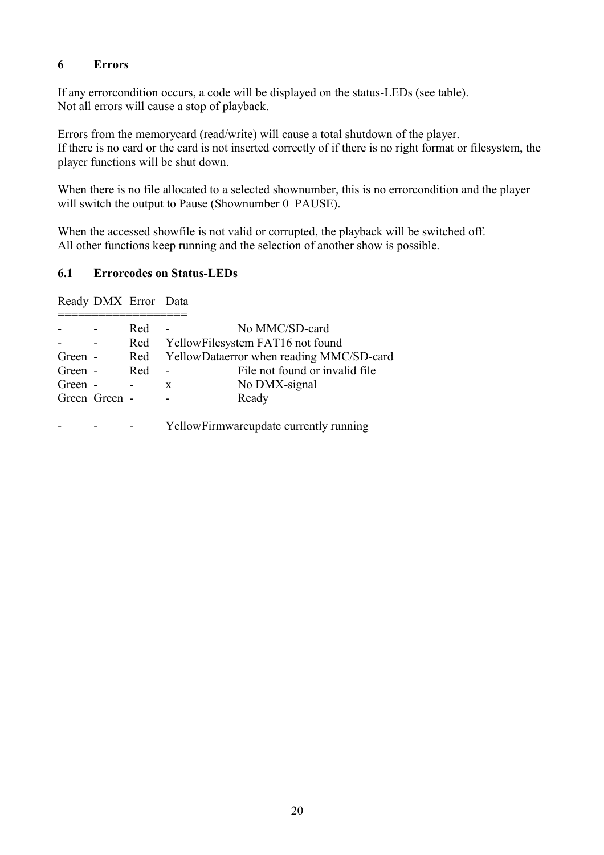#### **6 Errors**

If any errorcondition occurs, a code will be displayed on the status-LEDs (see table). Not all errors will cause a stop of playback.

Errors from the memorycard (read/write) will cause a total shutdown of the player. If there is no card or the card is not inserted correctly of if there is no right format or filesystem, the player functions will be shut down.

When there is no file allocated to a selected shownumber, this is no errorcondition and the player will switch the output to Pause (Shownumber 0 PAUSE).

When the accessed showfile is not valid or corrupted, the playback will be switched off. All other functions keep running and the selection of another show is possible.

#### **6.1 Errorcodes on Status-LEDs**

Ready DMX Error Data

|         |               | Red |   | No MMC/SD-card                           |
|---------|---------------|-----|---|------------------------------------------|
|         |               | Red |   | YellowFilesystem FAT16 not found         |
| Green - |               | Red |   | YellowDataerror when reading MMC/SD-card |
| Green - |               | Red |   | File not found or invalid file           |
| Green - |               |     | X | No DMX-signal                            |
|         | Green Green - |     |   | Ready                                    |
|         |               |     |   |                                          |
|         |               |     |   | YellowFirmwareupdate currently running   |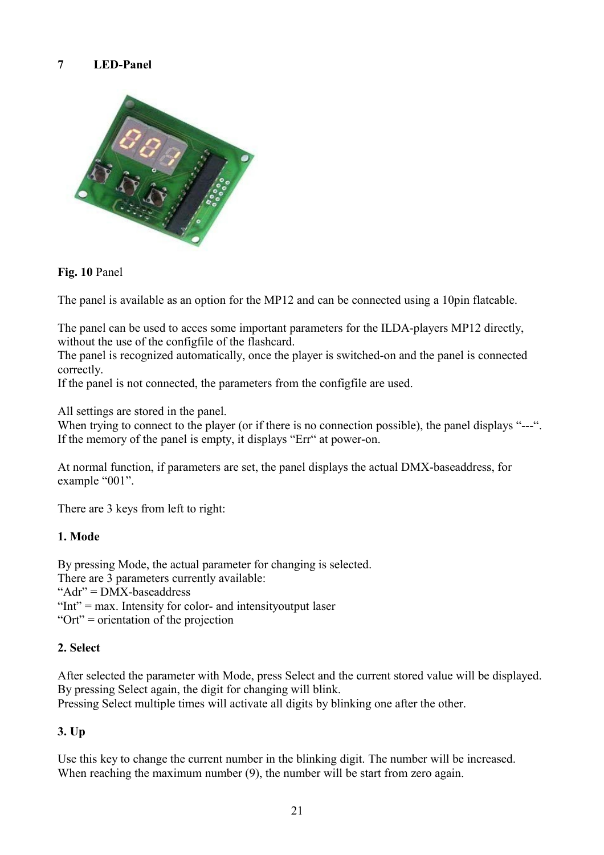# **7 LED-Panel**



#### **Fig. 10** Panel

The panel is available as an option for the MP12 and can be connected using a 10pin flatcable.

The panel can be used to acces some important parameters for the ILDA-players MP12 directly, without the use of the configfile of the flashcard.

The panel is recognized automatically, once the player is switched-on and the panel is connected correctly.

If the panel is not connected, the parameters from the configfile are used.

All settings are stored in the panel.

When trying to connect to the player (or if there is no connection possible), the panel displays "---". If the memory of the panel is empty, it displays "Err" at power-on.

At normal function, if parameters are set, the panel displays the actual DMX-baseaddress, for example "001".

There are 3 keys from left to right:

#### **1. Mode**

By pressing Mode, the actual parameter for changing is selected.

There are 3 parameters currently available:

"Adr" = DMX-baseaddress

"Int" = max. Intensity for color- and intensity output laser

"Ort" = orientation of the projection

#### **2. Select**

After selected the parameter with Mode, press Select and the current stored value will be displayed. By pressing Select again, the digit for changing will blink.

Pressing Select multiple times will activate all digits by blinking one after the other.

#### **3. Up**

Use this key to change the current number in the blinking digit. The number will be increased. When reaching the maximum number (9), the number will be start from zero again.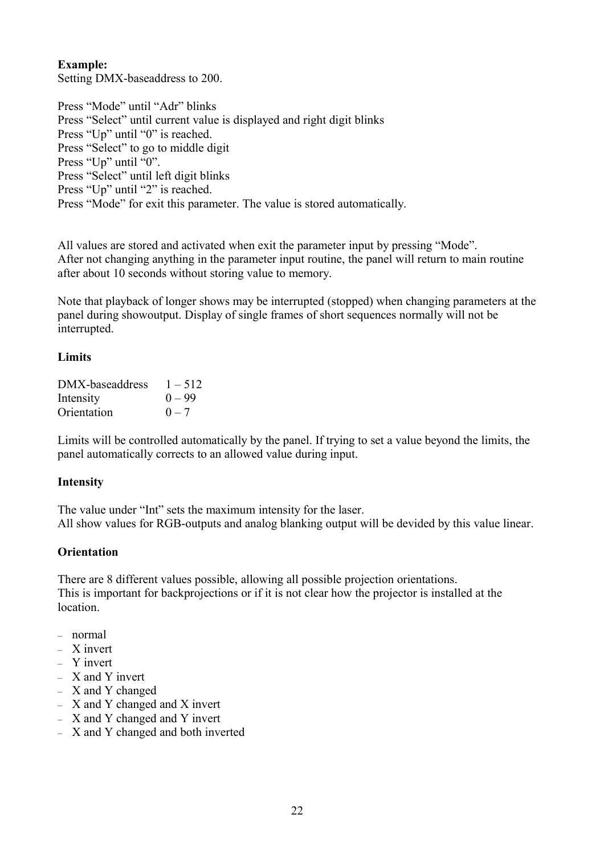#### **Example:**

Setting DMX-baseaddress to 200.

Press "Mode" until "Adr" blinks Press "Select" until current value is displayed and right digit blinks Press "Up" until "0" is reached. Press "Select" to go to middle digit Press "Up" until "0". Press "Select" until left digit blinks Press "Up" until "2" is reached. Press "Mode" for exit this parameter. The value is stored automatically.

All values are stored and activated when exit the parameter input by pressing "Mode". After not changing anything in the parameter input routine, the panel will return to main routine after about 10 seconds without storing value to memory.

Note that playback of longer shows may be interrupted (stopped) when changing parameters at the panel during showoutput. Display of single frames of short sequences normally will not be interrupted.

#### **Limits**

| DMX-baseaddress | $1 - 512$ |
|-----------------|-----------|
| Intensity       | $() = 99$ |
| Orientation     | $0 - 7$   |

Limits will be controlled automatically by the panel. If trying to set a value beyond the limits, the panel automatically corrects to an allowed value during input.

#### **Intensity**

The value under "Int" sets the maximum intensity for the laser. All show values for RGB-outputs and analog blanking output will be devided by this value linear.

#### **Orientation**

There are 8 different values possible, allowing all possible projection orientations. This is important for backprojections or if it is not clear how the projector is installed at the **location** 

- normal
- X invert
- Y invert
- X and Y invert
- X and Y changed
- X and Y changed and X invert
- X and Y changed and Y invert
- X and Y changed and both inverted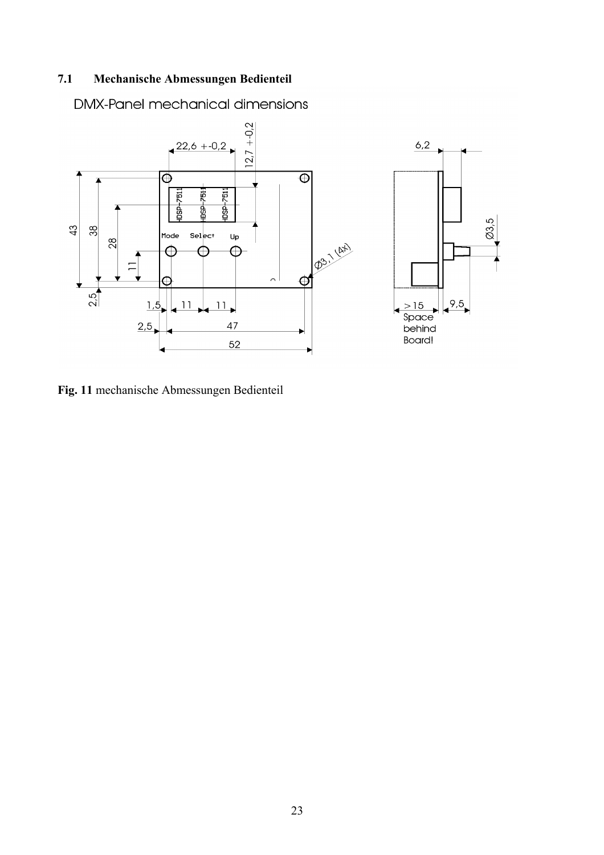# **7.1 Mechanische Abmessungen Bedienteil**

**DMX-Panel mechanical dimensions** 



**Fig. 11** mechanische Abmessungen Bedienteil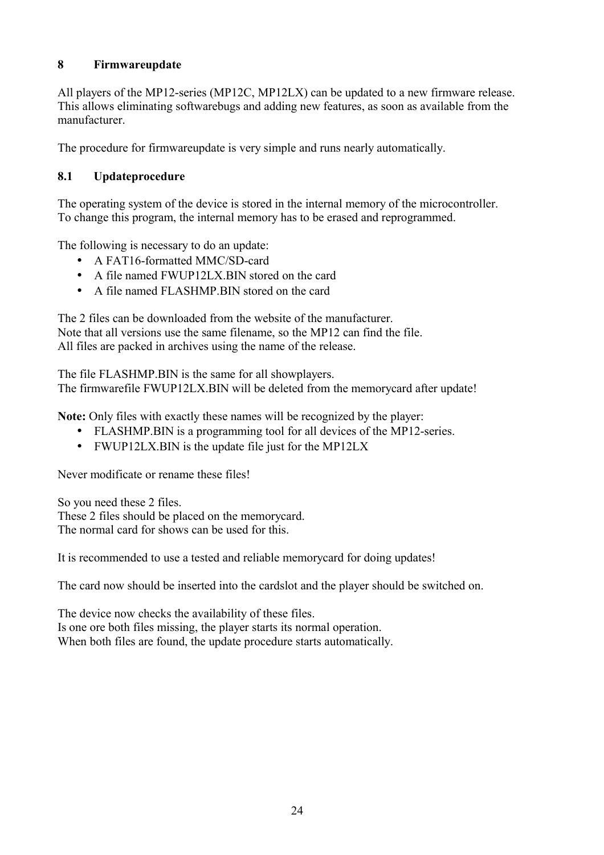# **8 Firmwareupdate**

All players of the MP12-series (MP12C, MP12LX) can be updated to a new firmware release. This allows eliminating softwarebugs and adding new features, as soon as available from the manufacturer.

The procedure for firmwareupdate is very simple and runs nearly automatically.

# **8.1 Updateprocedure**

The operating system of the device is stored in the internal memory of the microcontroller. To change this program, the internal memory has to be erased and reprogrammed.

The following is necessary to do an update:

- A FAT16-formatted MMC/SD-card
- A file named FWUP12LX.BIN stored on the card
- A file named FLASHMP.BIN stored on the card

The 2 files can be downloaded from the website of the manufacturer. Note that all versions use the same filename, so the MP12 can find the file. All files are packed in archives using the name of the release.

The file FLASHMP.BIN is the same for all showplayers.

The firmwarefile FWUP12LX.BIN will be deleted from the memorycard after update!

**Note:** Only files with exactly these names will be recognized by the player:

- FLASHMP.BIN is a programming tool for all devices of the MP12-series.
- FWUP12LX.BIN is the update file just for the MP12LX

Never modificate or rename these files!

So you need these 2 files. These 2 files should be placed on the memorycard. The normal card for shows can be used for this.

It is recommended to use a tested and reliable memorycard for doing updates!

The card now should be inserted into the cardslot and the player should be switched on.

The device now checks the availability of these files. Is one ore both files missing, the player starts its normal operation. When both files are found, the update procedure starts automatically.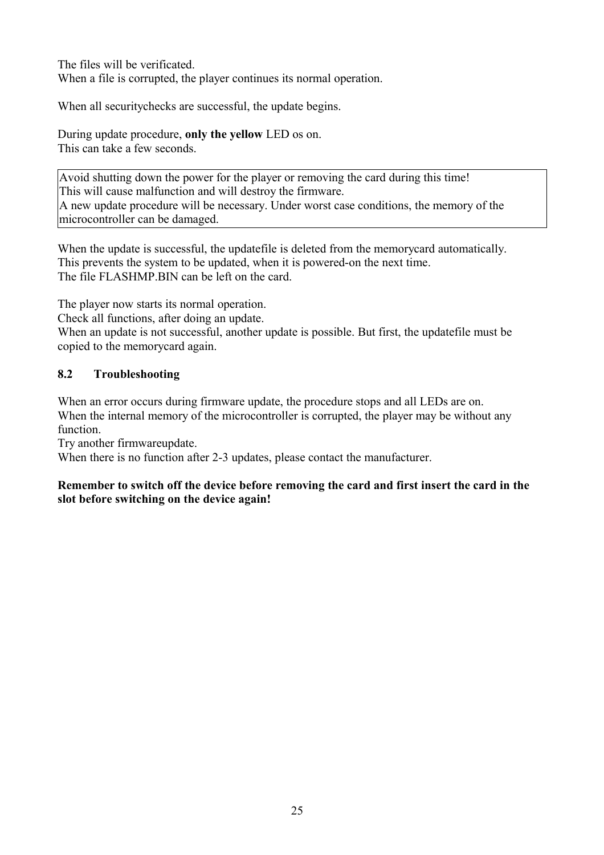The files will be verificated. When a file is corrupted, the player continues its normal operation.

When all securitychecks are successful, the update begins.

During update procedure, **only the yellow** LED os on. This can take a few seconds.

Avoid shutting down the power for the player or removing the card during this time! This will cause malfunction and will destroy the firmware. A new update procedure will be necessary. Under worst case conditions, the memory of the microcontroller can be damaged.

When the update is successful, the updatefile is deleted from the memorycard automatically. This prevents the system to be updated, when it is powered-on the next time. The file FLASHMP BIN can be left on the card.

The player now starts its normal operation.

Check all functions, after doing an update.

When an update is not successful, another update is possible. But first, the updatefile must be copied to the memorycard again.

# **8.2 Troubleshooting**

When an error occurs during firmware update, the procedure stops and all LEDs are on. When the internal memory of the microcontroller is corrupted, the player may be without any function.

Try another firmwareupdate.

When there is no function after 2-3 updates, please contact the manufacturer.

#### **Remember to switch off the device before removing the card and first insert the card in the slot before switching on the device again!**